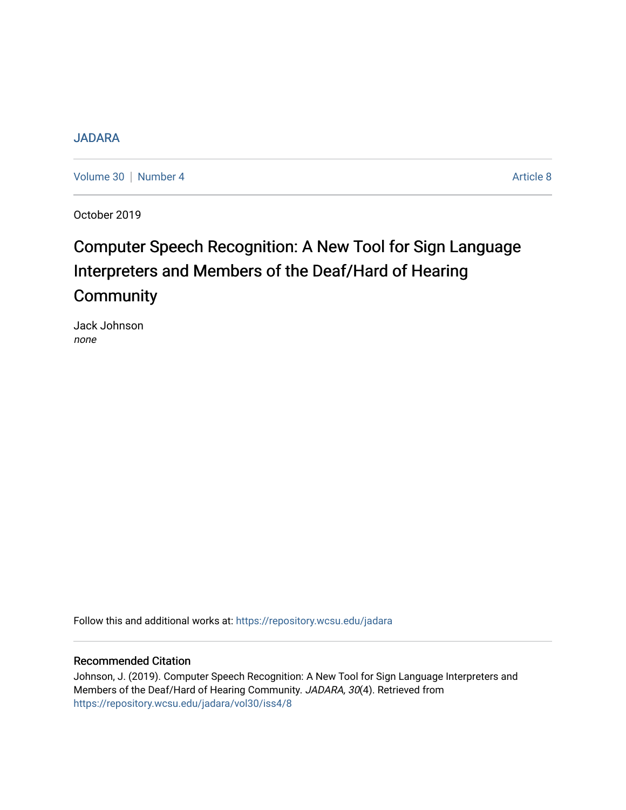# [JADARA](https://repository.wcsu.edu/jadara)

[Volume 30](https://repository.wcsu.edu/jadara/vol30) | [Number 4](https://repository.wcsu.edu/jadara/vol30/iss4) Article 8

October 2019

# Computer Speech Recognition: A New Tool for Sign Language Interpreters and Members of the Deaf/Hard of Hearing **Community**

Jack Johnson none

Follow this and additional works at: [https://repository.wcsu.edu/jadara](https://repository.wcsu.edu/jadara?utm_source=repository.wcsu.edu%2Fjadara%2Fvol30%2Fiss4%2F8&utm_medium=PDF&utm_campaign=PDFCoverPages)

## Recommended Citation

Johnson, J. (2019). Computer Speech Recognition: A New Tool for Sign Language Interpreters and Members of the Deaf/Hard of Hearing Community. JADARA, 30(4). Retrieved from [https://repository.wcsu.edu/jadara/vol30/iss4/8](https://repository.wcsu.edu/jadara/vol30/iss4/8?utm_source=repository.wcsu.edu%2Fjadara%2Fvol30%2Fiss4%2F8&utm_medium=PDF&utm_campaign=PDFCoverPages)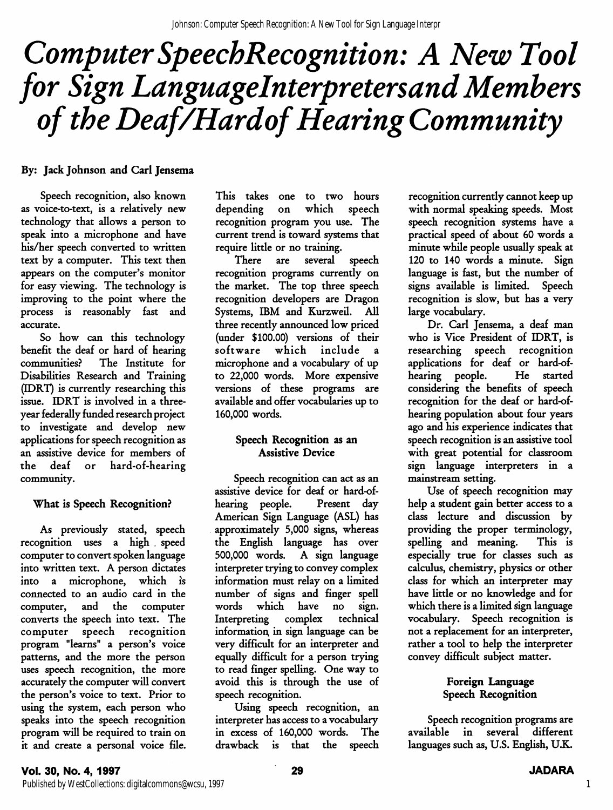# Computer SpeechRecognition: A New Tool for Sign Languagelnterpretersand Members of the Deaf/Hardof Hearing Community

# By: Jack Johnson and Carl Jensema

Speech recognition, also known as voice-to-text, is a relatively new technology that allows a person to speak into a microphone and have his/her speech converted to written text by a computer. This text then appears on the computer's monitor for easy viewing. The technology is improving to the point where the process is reasonably fast and accurate.

So how can this technology benefit the deaf or hard of hearing communities.^ The Institute for Disabilities Research and Training (EDRT) is currently researching this issue. IDRT is involved in a threeyear federally funded research project to investigate and develop new applications for speech recognition as an assistive device for members of the deaf or hard-of-hearing community.

#### What is Speech Recognition?

As previously stated, speech recognition uses a high . speed computer to convert spoken language into written text. A person dictates into a microphone, which is connected to an audio card in the computer, and the computer converts the speech into text. The computer speech recognition program "learns" a person's voice patterns, and the more the person uses speech recognition, the more accurately the computer will convert the person's voice to text. Prior to using the system, each person who speaks into the speech recognition program will be required to train on it and create a personal voice file. This takes one to two hours depending on which speech recognition program you use. The current trend is toward systems that require little or no training.

There are several speech recognition programs currently on the market. The top three speech recognition developers are Dragon Systems, IBM and Kurzweil. All three recently announced low priced (under \$100.00) versions of their software which include microphone and a vocabulary of up to 22,000 words. More expensive versions of these programs are available and offer vocabularies up to 160,000 words.

## Speech Recognition as an Assistive Device

Speech recognition can act as an assistive device for deaf or hard-ofhearing people. Present day American Sign Language (ASL) has approximately 5,000 signs, whereas the English language has over 500,000 words. A sign language interpreter trying to convey complex information must relay on a limited number of signs and finger spell words which have no sign. Interpreting complex technical information^ in sign language can be very difficult for an interpreter and equally difficult for a person trying to read finger spelling. One way to avoid this is through the use of speech recognition.

Using speech recognition, an interpreter has access to a vocabulary in excess of 160,000 words. The drawback is that the speech recognition currently cannot keep up with normal speaking speeds. Most speech recognition systems have a practical speed of about 60 words a minute while people usually speak at 120 to 140 words a minute. Sign language is fast, but the number of signs available is limited. Speech recognition is slow, but has a very large vocabulary.

Dr. Carl Jensema, a deaf man who is Vice President of IDRT, is researching speech recognition applications for deaf or hard-ofhearing people. He started considering the benefits of speech recognition for the deaf or hard-ofhearing population about four years ago and his experience indicates that speech recognition is an assistive tool with great potential for classroom sign language interpreters in a mainstream setting.

Use of speech recognition may help a student gain better access to a class lecture and discussion by providing the proper terminology, spelling and meaning. This is especially true for classes such as calculus, chemistry, physics or other class for which an interpreter may have little or no knowledge and for which there is a limited sign language vocabulary. Speech recognition is not a replacement for an interpreter, rather a tool to help the interpreter convey difficult subject matter.

## Foreign Language Speech Recognition

Speech recognition programs are available in several different languages such as, U.S. English, U.K.